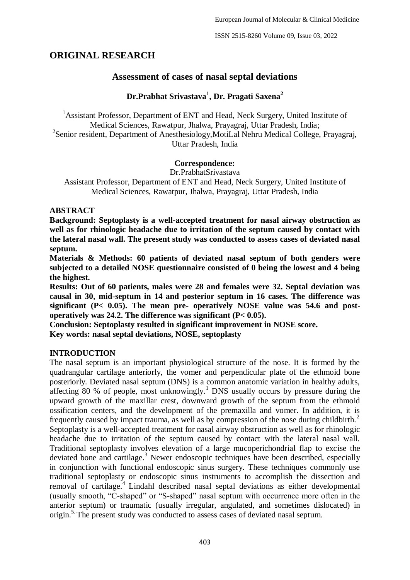ISSN 2515-8260 Volume 09, Issue 03, 2022

# **ORIGINAL RESEARCH**

# **Assessment of cases of nasal septal deviations**

# **Dr.Prabhat Srivastava<sup>1</sup> , Dr. Pragati Saxena<sup>2</sup>**

<sup>1</sup> Assistant Professor, Department of ENT and Head, Neck Surgery, United Institute of Medical Sciences, Rawatpur, Jhalwa, Prayagraj, Uttar Pradesh, India; <sup>2</sup>Senior resident, Department of Anesthesiology, MotiLal Nehru Medical College, Prayagraj, Uttar Pradesh, India

## **Correspondence:**

Dr.PrabhatSrivastava

Assistant Professor, Department of ENT and Head, Neck Surgery, United Institute of Medical Sciences, Rawatpur, Jhalwa, Prayagraj, Uttar Pradesh, India

## **ABSTRACT**

**Background: Septoplasty is a well-accepted treatment for nasal airway obstruction as well as for rhinologic headache due to irritation of the septum caused by contact with the lateral nasal wall. The present study was conducted to assess cases of deviated nasal septum.**

**Materials & Methods: 60 patients of deviated nasal septum of both genders were subjected to a detailed NOSE questionnaire consisted of 0 being the lowest and 4 being the highest.** 

**Results: Out of 60 patients, males were 28 and females were 32. Septal deviation was causal in 30, mid-septum in 14 and posterior septum in 16 cases. The difference was significant (P< 0.05). The mean pre- operatively NOSE value was 54.6 and postoperatively was 24.2. The difference was significant (P< 0.05).**

**Conclusion: Septoplasty resulted in significant improvement in NOSE score. Key words: nasal septal deviations, NOSE, septoplasty**

### **INTRODUCTION**

The nasal septum is an important physiological structure of the nose. It is formed by the quadrangular cartilage anteriorly, the vomer and perpendicular plate of the ethmoid bone posteriorly. Deviated nasal septum (DNS) is a common anatomic variation in healthy adults, affecting 80 % of people, most unknowingly.<sup>1</sup> DNS usually occurs by pressure during the upward growth of the maxillar crest, downward growth of the septum from the ethmoid ossification centers, and the development of the premaxilla and vomer. In addition, it is frequently caused by impact trauma, as well as by compression of the nose during childbirth.<sup>2</sup> Septoplasty is a well-accepted treatment for nasal airway obstruction as well as for rhinologic headache due to irritation of the septum caused by contact with the lateral nasal wall. Traditional septoplasty involves elevation of a large mucoperichondrial flap to excise the deviated bone and cartilage.<sup>3</sup> Newer endoscopic techniques have been described, especially in conjunction with functional endoscopic sinus surgery. These techniques commonly use traditional septoplasty or endoscopic sinus instruments to accomplish the dissection and removal of cartilage.<sup>4</sup> Lindahl described nasal septal deviations as either developmental (usually smooth, "C-shaped" or "S-shaped" nasal septum with occurrence more often in the anterior septum) or traumatic (usually irregular, angulated, and sometimes dislocated) in origin. 5. The present study was conducted to assess cases of deviated nasal septum.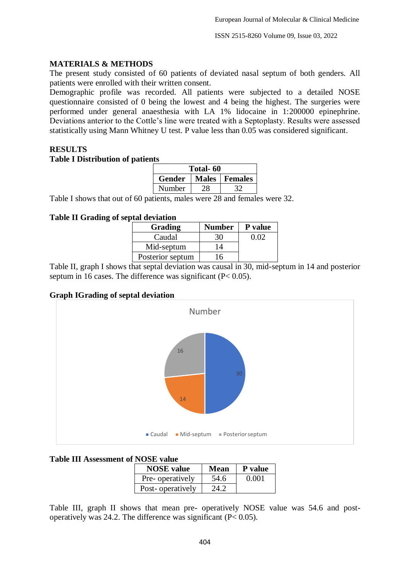ISSN 2515-8260 Volume 09, Issue 03, 2022

## **MATERIALS & METHODS**

The present study consisted of 60 patients of deviated nasal septum of both genders. All patients were enrolled with their written consent.

Demographic profile was recorded. All patients were subjected to a detailed NOSE questionnaire consisted of 0 being the lowest and 4 being the highest. The surgeries were performed under general anaesthesia with LA 1% lidocaine in 1:200000 epinephrine. Deviations anterior to the Cottle's line were treated with a Septoplasty. Results were assessed statistically using Mann Whitney U test. P value less than 0.05 was considered significant.

# **RESULTS**

#### **Table I Distribution of patients**

| Total- 60 |  |               |  |  |
|-----------|--|---------------|--|--|
| Gender    |  | Males Females |  |  |
| Number    |  |               |  |  |

Table I shows that out of 60 patients, males were 28 and females were 32.

### **Table II Grading of septal deviation**

| Grading          | <b>Number</b> | P value |
|------------------|---------------|---------|
| Caudal           | 30            | 0.02    |
| Mid-septum       | 14            |         |
| Posterior septum | 6             |         |

Table II, graph I shows that septal deviation was causal in 30, mid-septum in 14 and posterior septum in 16 cases. The difference was significant  $(P< 0.05)$ .

### **Graph IGrading of septal deviation**



### **Table III Assessment of NOSE value**

| <b>NOSE</b> value | <b>Mean</b> | P value |
|-------------------|-------------|---------|
| Pre-operatively   | 54.6        | 0.001   |
| Post-operatively  | 24.2        |         |

Table III, graph II shows that mean pre- operatively NOSE value was 54.6 and postoperatively was 24.2. The difference was significant ( $P < 0.05$ ).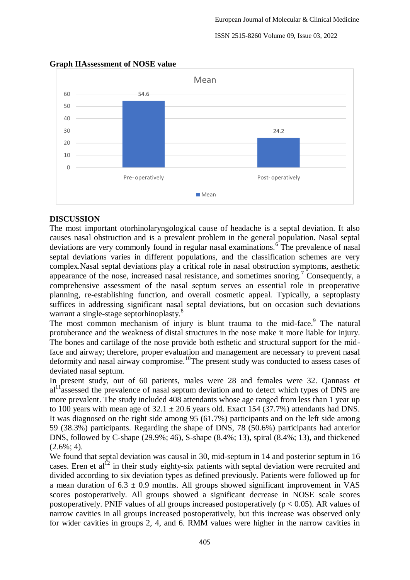#### ISSN 2515-8260 Volume 09, Issue 03, 2022



#### **Graph IIAssessment of NOSE value**

## **DISCUSSION**

The most important otorhinolaryngological cause of headache is a septal deviation. It also causes nasal obstruction and is a prevalent problem in the general population. Nasal septal deviations are very commonly found in regular nasal examinations.<sup>6</sup> The prevalence of nasal septal deviations varies in different populations, and the classification schemes are very complex.Nasal septal deviations play a critical role in nasal obstruction symptoms, aesthetic appearance of the nose, increased nasal resistance, and sometimes snoring.<sup>7</sup> Consequently, a comprehensive assessment of the nasal septum serves an essential role in preoperative planning, re-establishing function, and overall cosmetic appeal. Typically, a septoplasty suffices in addressing significant nasal septal deviations, but on occasion such deviations warrant a single-stage septorhinoplasty.<sup>8</sup>

The most common mechanism of injury is blunt trauma to the mid-face.<sup>9</sup> The natural protuberance and the weakness of distal structures in the nose make it more liable for injury. The bones and cartilage of the nose provide both esthetic and structural support for the midface and airway; therefore, proper evaluation and management are necessary to prevent nasal deformity and nasal airway compromise.<sup>10</sup>The present study was conducted to assess cases of deviated nasal septum.

In present study, out of 60 patients, males were 28 and females were 32. Qannass et  $al<sup>11</sup>$  assessed the prevalence of nasal septum deviation and to detect which types of DNS are more prevalent. The study included 408 attendants whose age ranged from less than 1 year up to 100 years with mean age of  $32.1 \pm 20.6$  years old. Exact 154 (37.7%) attendants had DNS. It was diagnosed on the right side among 95 (61.7%) participants and on the left side among 59 (38.3%) participants. Regarding the shape of DNS, 78 (50.6%) participants had anterior DNS, followed by C-shape (29.9%; 46), S-shape (8.4%; 13), spiral (8.4%; 13), and thickened  $(2.6\%; 4)$ .

We found that septal deviation was causal in 30, mid-septum in 14 and posterior septum in 16 cases. Eren et  $a_1^{12}$  in their study eighty-six patients with septal deviation were recruited and divided according to six deviation types as defined previously. Patients were followed up for a mean duration of  $6.3 \pm 0.9$  months. All groups showed significant improvement in VAS scores postoperatively. All groups showed a significant decrease in NOSE scale scores postoperatively. PNIF values of all groups increased postoperatively ( $p < 0.05$ ). AR values of narrow cavities in all groups increased postoperatively, but this increase was observed only for wider cavities in groups 2, 4, and 6. RMM values were higher in the narrow cavities in